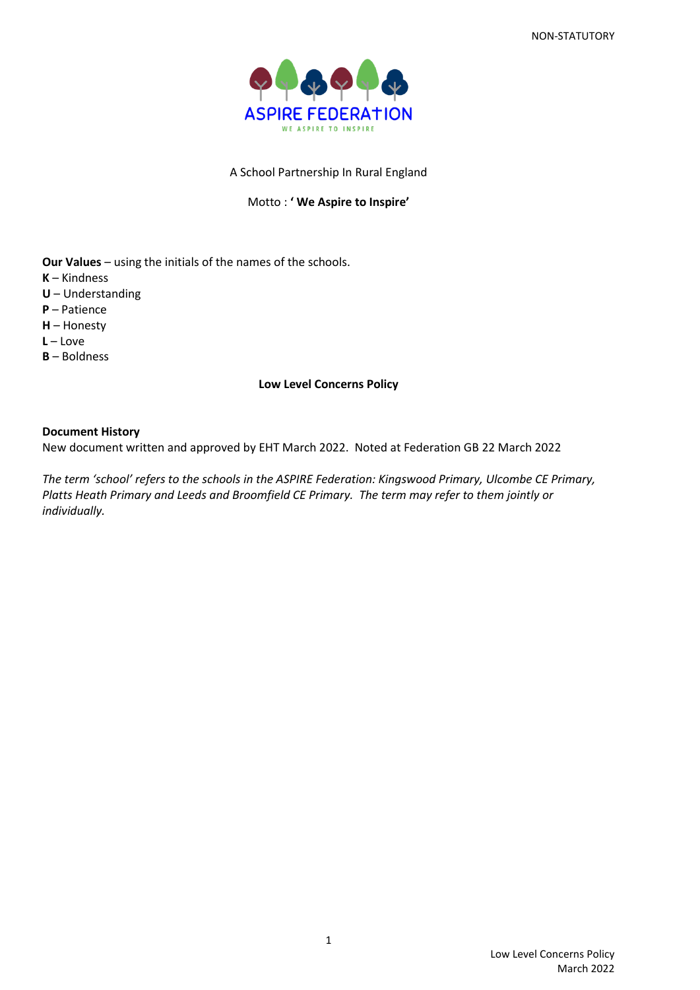

# A School Partnership In Rural England

## Motto : **' We Aspire to Inspire'**

**Our Values** – using the initials of the names of the schools. **K** – Kindness **U** – Understanding **P** – Patience **H** – Honesty **L** – Love **B** – Boldness

## **Low Level Concerns Policy**

## **Document History**

New document written and approved by EHT March 2022. Noted at Federation GB 22 March 2022

*The term 'school' refers to the schools in the ASPIRE Federation: Kingswood Primary, Ulcombe CE Primary, Platts Heath Primary and Leeds and Broomfield CE Primary. The term may refer to them jointly or individually.*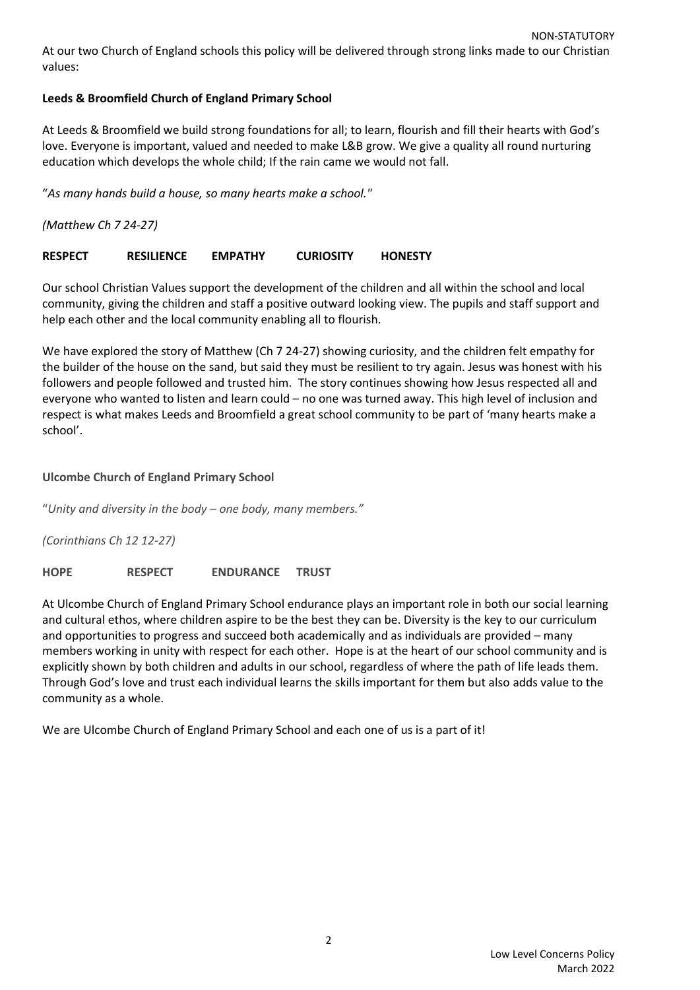# **Leeds & Broomfield Church of England Primary School**

At Leeds & Broomfield we build strong foundations for all; to learn, flourish and fill their hearts with God's love. Everyone is important, valued and needed to make L&B grow. We give a quality all round nurturing education which develops the whole child; If the rain came we would not fall.

"*As many hands build a house, so many hearts make a school."*

*(Matthew Ch 7 24-27)*

# **RESPECT RESILIENCE EMPATHY CURIOSITY HONESTY**

Our school Christian Values support the development of the children and all within the school and local community, giving the children and staff a positive outward looking view. The pupils and staff support and help each other and the local community enabling all to flourish.

We have explored the story of Matthew (Ch 7 24-27) showing curiosity, and the children felt empathy for the builder of the house on the sand, but said they must be resilient to try again. Jesus was honest with his followers and people followed and trusted him. The story continues showing how Jesus respected all and everyone who wanted to listen and learn could – no one was turned away. This high level of inclusion and respect is what makes Leeds and Broomfield a great school community to be part of 'many hearts make a school'.

# **Ulcombe Church of England Primary School**

"*Unity and diversity in the body – one body, many members."*

*(Corinthians Ch 12 12-27)*

**HOPE RESPECT ENDURANCE TRUST**

At Ulcombe Church of England Primary School endurance plays an important role in both our social learning and cultural ethos, where children aspire to be the best they can be. Diversity is the key to our curriculum and opportunities to progress and succeed both academically and as individuals are provided – many members working in unity with respect for each other. Hope is at the heart of our school community and is explicitly shown by both children and adults in our school, regardless of where the path of life leads them. Through God's love and trust each individual learns the skills important for them but also adds value to the community as a whole.

We are Ulcombe Church of England Primary School and each one of us is a part of it!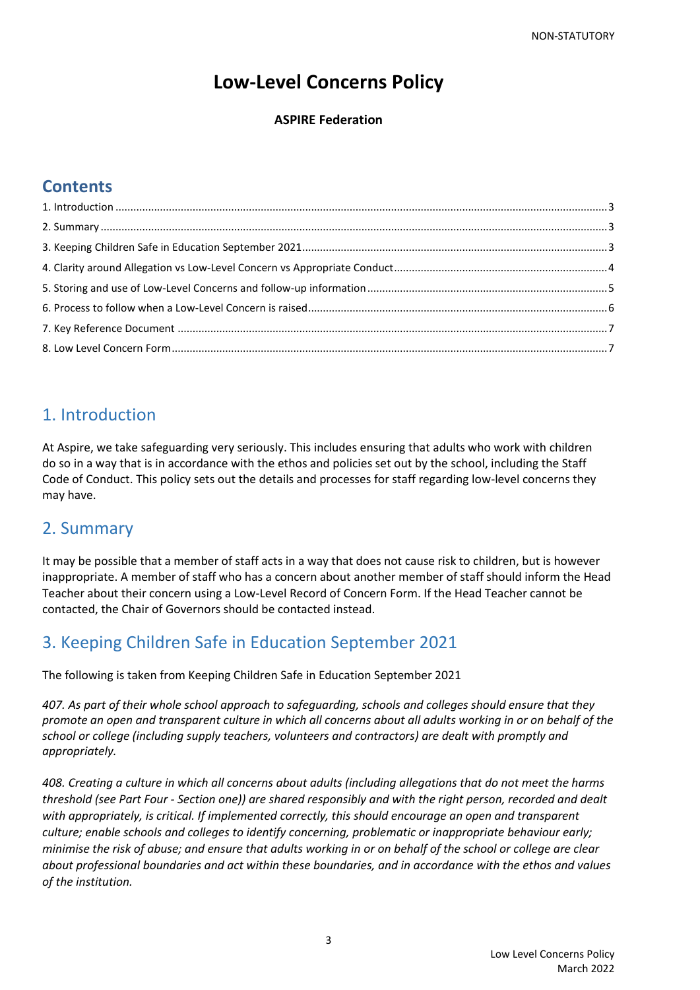# **Low-Level Concerns Policy**

# **ASPIRE Federation**

# **Contents**

# <span id="page-2-0"></span>1. Introduction

At Aspire, we take safeguarding very seriously. This includes ensuring that adults who work with children do so in a way that is in accordance with the ethos and policies set out by the school, including the Staff Code of Conduct. This policy sets out the details and processes for staff regarding low-level concerns they may have.

# <span id="page-2-1"></span>2. Summary

It may be possible that a member of staff acts in a way that does not cause risk to children, but is however inappropriate. A member of staff who has a concern about another member of staff should inform the Head Teacher about their concern using a Low-Level Record of Concern Form. If the Head Teacher cannot be contacted, the Chair of Governors should be contacted instead.

# <span id="page-2-2"></span>3. Keeping Children Safe in Education September 2021

The following is taken from Keeping Children Safe in Education September 2021

*407. As part of their whole school approach to safeguarding, schools and colleges should ensure that they promote an open and transparent culture in which all concerns about all adults working in or on behalf of the school or college (including supply teachers, volunteers and contractors) are dealt with promptly and appropriately.*

*408. Creating a culture in which all concerns about adults (including allegations that do not meet the harms threshold (see Part Four - Section one)) are shared responsibly and with the right person, recorded and dealt with appropriately, is critical. If implemented correctly, this should encourage an open and transparent culture; enable schools and colleges to identify concerning, problematic or inappropriate behaviour early; minimise the risk of abuse; and ensure that adults working in or on behalf of the school or college are clear about professional boundaries and act within these boundaries, and in accordance with the ethos and values of the institution.*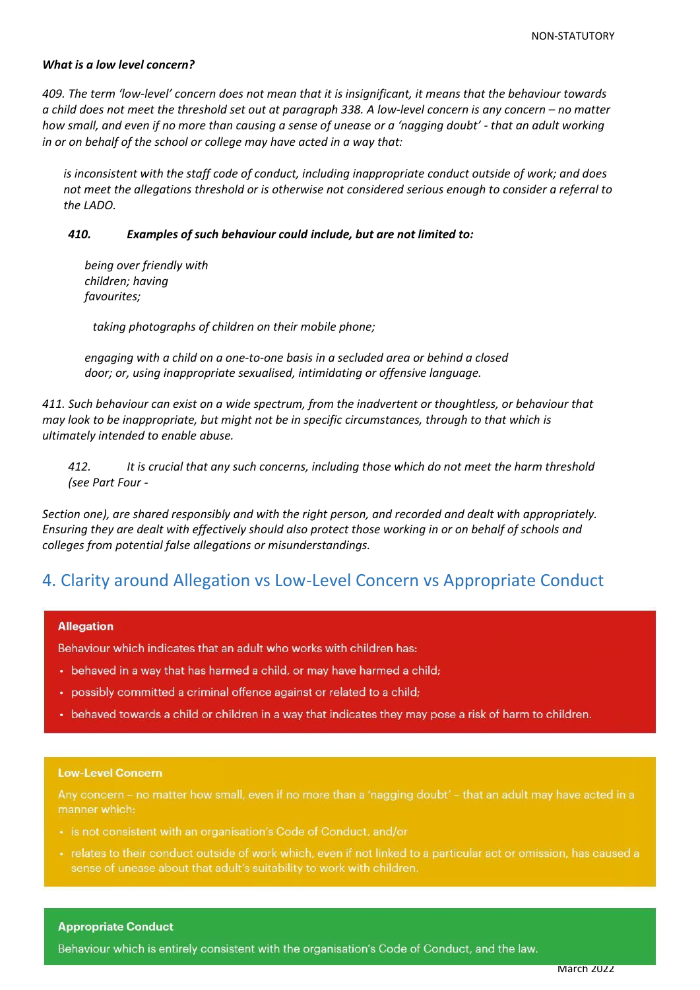## *What is a low level concern?*

*409. The term 'low-level' concern does not mean that it is insignificant, it means that the behaviour towards a child does not meet the threshold set out at paragraph 338. A low-level concern is any concern – no matter how small, and even if no more than causing a sense of unease or a 'nagging doubt' - that an adult working in or on behalf of the school or college may have acted in a way that:*

*is inconsistent with the staff code of conduct, including inappropriate conduct outside of work; and does not meet the allegations threshold or is otherwise not considered serious enough to consider a referral to the LADO.*

## *410. Examples of such behaviour could include, but are not limited to:*

*being over friendly with children; having favourites;*

 *taking photographs of children on their mobile phone;*

*engaging with a child on a one-to-one basis in a secluded area or behind a closed door; or, using inappropriate sexualised, intimidating or offensive language.*

*411. Such behaviour can exist on a wide spectrum, from the inadvertent or thoughtless, or behaviour that may look to be inappropriate, but might not be in specific circumstances, through to that which is ultimately intended to enable abuse.*

*412. It is crucial that any such concerns, including those which do not meet the harm threshold (see Part Four -*

*Section one), are shared responsibly and with the right person, and recorded and dealt with appropriately. Ensuring they are dealt with effectively should also protect those working in or on behalf of schools and colleges from potential false allegations or misunderstandings.*

# <span id="page-3-0"></span>4. Clarity around Allegation vs Low-Level Concern vs Appropriate Conduct

#### **Allegation**

Behaviour which indicates that an adult who works with children has:

- behaved in a way that has harmed a child, or may have harmed a child;
- possibly committed a criminal offence against or related to a child;
- behaved towards a child or children in a way that indicates they may pose a risk of harm to children.

#### **Low-Level Concern**

Any concern – no matter how small, even if no more than a 'nagging doubt' – that an adult may have acted in a manner which:

- · is not consistent with an organisation's Code of Conduct, and/or
- relates to their conduct outside of work which, even if not linked to a particular act or omission, has caused a sense of unease about that adult's suitability to work with children.

#### **Appropriate Conduct**

 $L$  Lie law.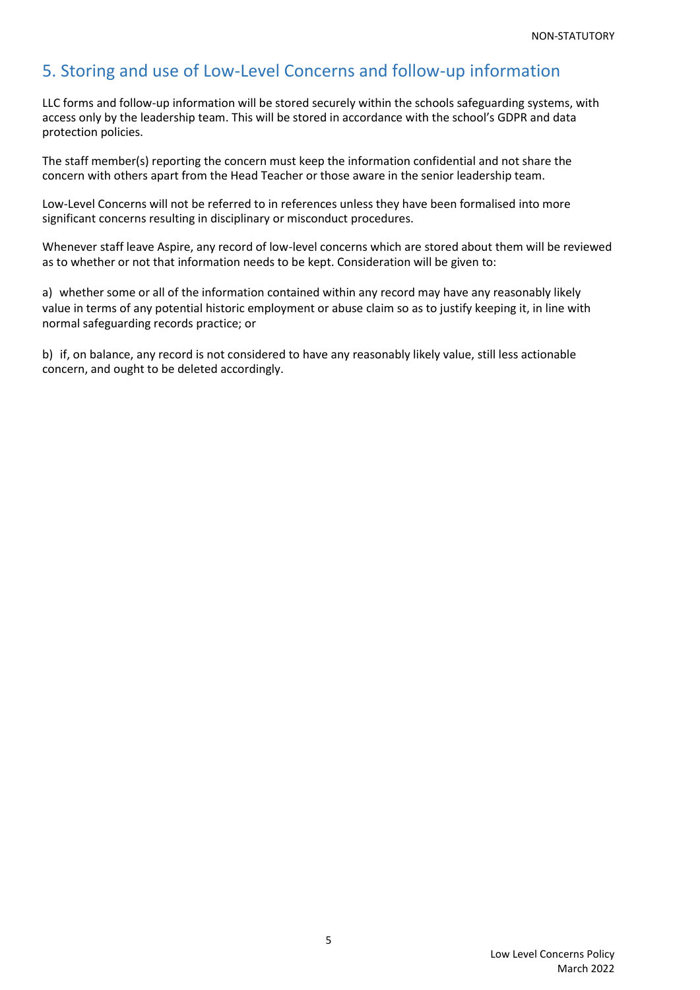# <span id="page-4-0"></span>5. Storing and use of Low-Level Concerns and follow-up information

LLC forms and follow-up information will be stored securely within the schools safeguarding systems, with access only by the leadership team. This will be stored in accordance with the school's GDPR and data protection policies.

The staff member(s) reporting the concern must keep the information confidential and not share the concern with others apart from the Head Teacher or those aware in the senior leadership team.

Low-Level Concerns will not be referred to in references unless they have been formalised into more significant concerns resulting in disciplinary or misconduct procedures.

Whenever staff leave Aspire, any record of low-level concerns which are stored about them will be reviewed as to whether or not that information needs to be kept. Consideration will be given to:

a) whether some or all of the information contained within any record may have any reasonably likely value in terms of any potential historic employment or abuse claim so as to justify keeping it, in line with normal safeguarding records practice; or

b) if, on balance, any record is not considered to have any reasonably likely value, still less actionable concern, and ought to be deleted accordingly.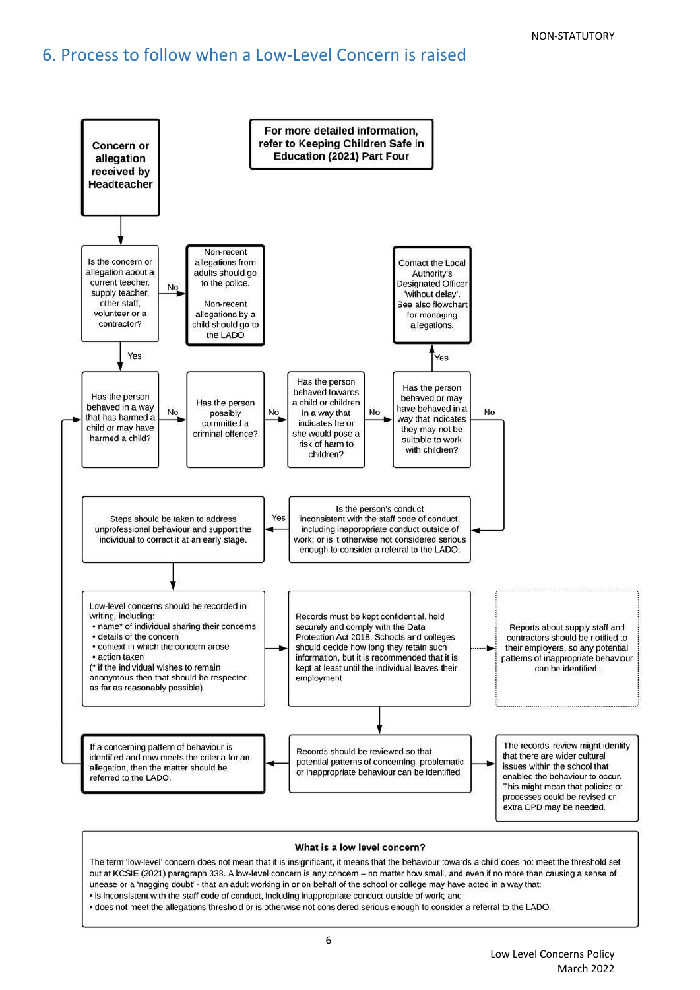# <span id="page-5-0"></span>6. Process to follow when a Low-Level Concern is raised



#### What is a low level concern?

The term 'low-level' concern does not mean that it is insignificant, it means that the behaviour towards a child does not meet the threshold set out at KCSIE (2021) paragraph 338. A low-level concern is any concern - no matter how small, and even if no more than causing a sense of unease or a 'nagging doubt' - that an adult working in or on behalf of the school or college may have acted in a way that: . is inconsistent with the staff code of conduct, including inappropriate conduct outside of work; and

• does not meet the allegations threshold or is otherwise not considered serious enough to consider a referral to the LADO.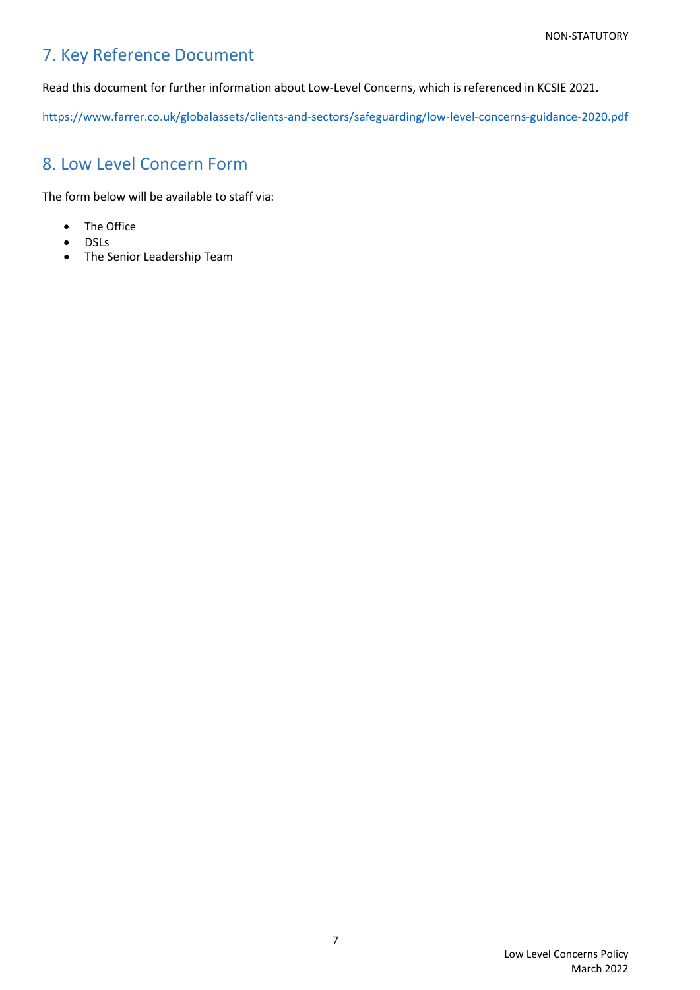# <span id="page-6-0"></span>7. Key Reference Document

Read this document for further information about Low-Level Concerns, which is referenced in KCSIE 2021.

<https://www.farrer.co.uk/globalassets/clients-and-sectors/safeguarding/low-level-concerns-guidance-2020.pdf>

# <span id="page-6-1"></span>8. Low Level Concern Form

The form below will be available to staff via:

- The Office
- DSLs
- The Senior Leadership Team